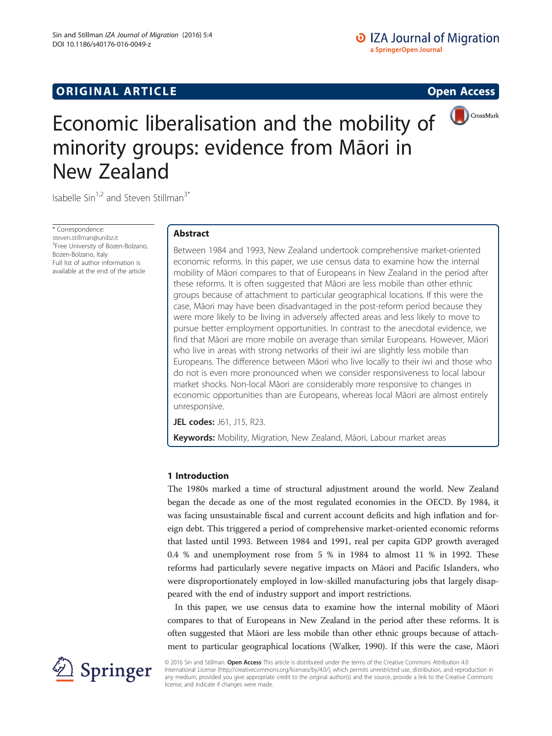

# Economic liberalisation and the mobility of minority groups: evidence from Māori in New Zealand

Isabelle Sin<sup>1,2</sup> and Steven Stillman<sup>3\*</sup>

\* Correspondence: [steven.stillman@unibz.it](mailto:steven.stillman@unibz.it) <sup>3</sup>Free University of Bozen-Bolzano, Bozen-Bolzano, Italy Full list of author information is available at the end of the article

# Abstract

Between 1984 and 1993, New Zealand undertook comprehensive market-oriented economic reforms. In this paper, we use census data to examine how the internal mobility of Māori compares to that of Europeans in New Zealand in the period after these reforms. It is often suggested that Māori are less mobile than other ethnic groups because of attachment to particular geographical locations. If this were the case, Māori may have been disadvantaged in the post-reform period because they were more likely to be living in adversely affected areas and less likely to move to pursue better employment opportunities. In contrast to the anecdotal evidence, we find that Māori are more mobile on average than similar Europeans. However, Māori who live in areas with strong networks of their iwi are slightly less mobile than Europeans. The difference between Māori who live locally to their iwi and those who do not is even more pronounced when we consider responsiveness to local labour market shocks. Non-local Māori are considerably more responsive to changes in economic opportunities than are Europeans, whereas local Māori are almost entirely unresponsive.

JEL codes: J61, J15, R23.

Keywords: Mobility, Migration, New Zealand, Māori, Labour market areas

# 1 Introduction

The 1980s marked a time of structural adjustment around the world. New Zealand began the decade as one of the most regulated economies in the OECD. By 1984, it was facing unsustainable fiscal and current account deficits and high inflation and foreign debt. This triggered a period of comprehensive market-oriented economic reforms that lasted until 1993. Between 1984 and 1991, real per capita GDP growth averaged 0.4 % and unemployment rose from 5 % in 1984 to almost 11 % in 1992. These reforms had particularly severe negative impacts on Māori and Pacific Islanders, who were disproportionately employed in low-skilled manufacturing jobs that largely disappeared with the end of industry support and import restrictions.

In this paper, we use census data to examine how the internal mobility of Māori compares to that of Europeans in New Zealand in the period after these reforms. It is often suggested that Māori are less mobile than other ethnic groups because of attachment to particular geographical locations (Walker, [1990\)](#page--1-0). If this were the case, Māori



© 2016 Sin and Stillman. Open Access This article is distributed under the terms of the Creative Commons Attribution 4.0 International License ([http://creativecommons.org/licenses/by/4.0/\)](http://creativecommons.org/licenses/by/4.0/), which permits unrestricted use, distribution, and reproduction in any medium, provided you give appropriate credit to the original author(s) and the source, provide a link to the Creative Commons license, and indicate if changes were made.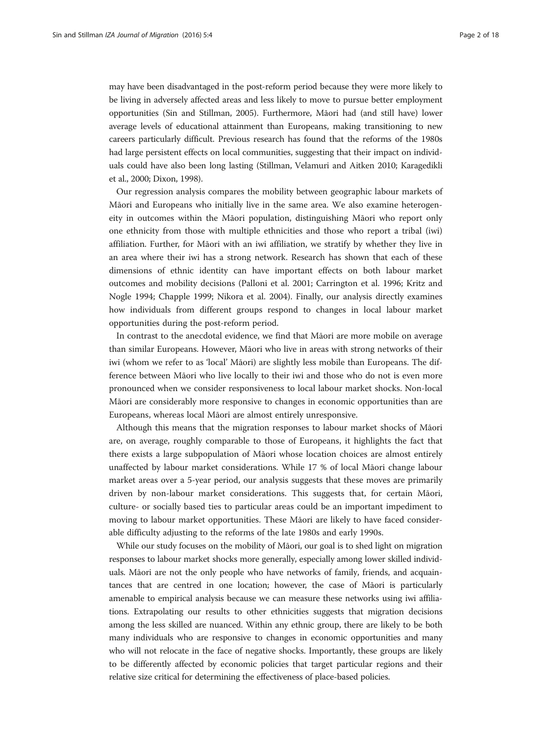may have been disadvantaged in the post-reform period because they were more likely to be living in adversely affected areas and less likely to move to pursue better employment opportunities (Sin and Stillman, [2005\)](#page--1-0). Furthermore, Māori had (and still have) lower average levels of educational attainment than Europeans, making transitioning to new careers particularly difficult. Previous research has found that the reforms of the 1980s had large persistent effects on local communities, suggesting that their impact on individuals could have also been long lasting (Stillman, Velamuri and Aitken [2010;](#page--1-0) Karagedikli et al., [2000](#page--1-0); Dixon, [1998\)](#page--1-0).

Our regression analysis compares the mobility between geographic labour markets of Māori and Europeans who initially live in the same area. We also examine heterogeneity in outcomes within the Māori population, distinguishing Māori who report only one ethnicity from those with multiple ethnicities and those who report a tribal (iwi) affiliation. Further, for Māori with an iwi affiliation, we stratify by whether they live in an area where their iwi has a strong network. Research has shown that each of these dimensions of ethnic identity can have important effects on both labour market outcomes and mobility decisions (Palloni et al. [2001;](#page--1-0) Carrington et al. [1996;](#page--1-0) Kritz and Nogle [1994](#page--1-0); Chapple [1999](#page--1-0); Nikora et al. [2004](#page--1-0)). Finally, our analysis directly examines how individuals from different groups respond to changes in local labour market opportunities during the post-reform period.

In contrast to the anecdotal evidence, we find that Māori are more mobile on average than similar Europeans. However, Māori who live in areas with strong networks of their iwi (whom we refer to as 'local' Māori) are slightly less mobile than Europeans. The difference between Māori who live locally to their iwi and those who do not is even more pronounced when we consider responsiveness to local labour market shocks. Non-local Māori are considerably more responsive to changes in economic opportunities than are Europeans, whereas local Māori are almost entirely unresponsive.

Although this means that the migration responses to labour market shocks of Māori are, on average, roughly comparable to those of Europeans, it highlights the fact that there exists a large subpopulation of Māori whose location choices are almost entirely unaffected by labour market considerations. While 17 % of local Māori change labour market areas over a 5-year period, our analysis suggests that these moves are primarily driven by non-labour market considerations. This suggests that, for certain Māori, culture- or socially based ties to particular areas could be an important impediment to moving to labour market opportunities. These Māori are likely to have faced considerable difficulty adjusting to the reforms of the late 1980s and early 1990s.

While our study focuses on the mobility of Māori, our goal is to shed light on migration responses to labour market shocks more generally, especially among lower skilled individuals. Māori are not the only people who have networks of family, friends, and acquaintances that are centred in one location; however, the case of Māori is particularly amenable to empirical analysis because we can measure these networks using iwi affiliations. Extrapolating our results to other ethnicities suggests that migration decisions among the less skilled are nuanced. Within any ethnic group, there are likely to be both many individuals who are responsive to changes in economic opportunities and many who will not relocate in the face of negative shocks. Importantly, these groups are likely to be differently affected by economic policies that target particular regions and their relative size critical for determining the effectiveness of place-based policies.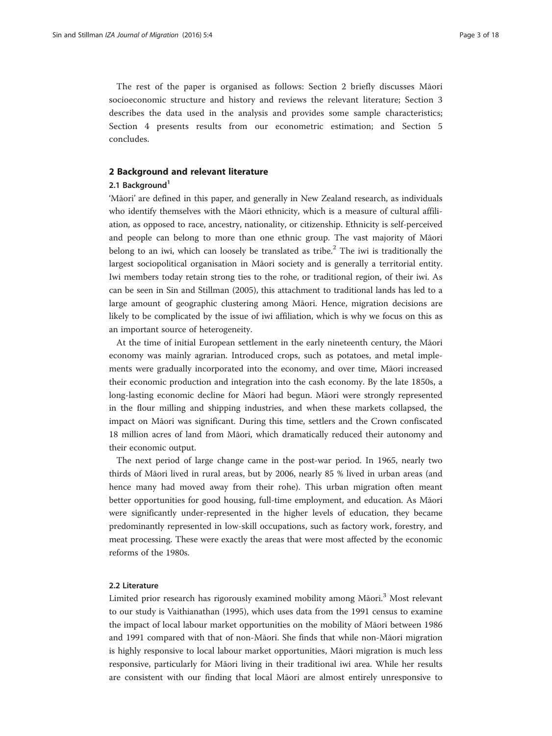The rest of the paper is organised as follows: Section 2 briefly discusses Māori socioeconomic structure and history and reviews the relevant literature; Section [3](#page-3-0) describes the data used in the analysis and provides some sample characteristics; Section [4](#page-4-0) presents results from our econometric estimation; and Section [5](#page-12-0) concludes.

# 2 Background and relevant literature

# 2.1 Background<sup>1</sup>

'Māori' are defined in this paper, and generally in New Zealand research, as individuals who identify themselves with the Māori ethnicity, which is a measure of cultural affiliation, as opposed to race, ancestry, nationality, or citizenship. Ethnicity is self-perceived and people can belong to more than one ethnic group. The vast majority of Māori belong to an iwi, which can loosely be translated as tribe.<sup>2</sup> The iwi is traditionally the largest sociopolitical organisation in Māori society and is generally a territorial entity. Iwi members today retain strong ties to the rohe, or traditional region, of their iwi. As can be seen in Sin and Stillman ([2005](#page--1-0)), this attachment to traditional lands has led to a large amount of geographic clustering among Māori. Hence, migration decisions are likely to be complicated by the issue of iwi affiliation, which is why we focus on this as an important source of heterogeneity.

At the time of initial European settlement in the early nineteenth century, the Māori economy was mainly agrarian. Introduced crops, such as potatoes, and metal implements were gradually incorporated into the economy, and over time, Māori increased their economic production and integration into the cash economy. By the late 1850s, a long-lasting economic decline for Māori had begun. Māori were strongly represented in the flour milling and shipping industries, and when these markets collapsed, the impact on Māori was significant. During this time, settlers and the Crown confiscated 18 million acres of land from Māori, which dramatically reduced their autonomy and their economic output.

The next period of large change came in the post-war period. In 1965, nearly two thirds of Māori lived in rural areas, but by 2006, nearly 85 % lived in urban areas (and hence many had moved away from their rohe). This urban migration often meant better opportunities for good housing, full-time employment, and education. As Māori were significantly under-represented in the higher levels of education, they became predominantly represented in low-skill occupations, such as factory work, forestry, and meat processing. These were exactly the areas that were most affected by the economic reforms of the 1980s.

#### 2.2 Literature

Limited prior research has rigorously examined mobility among Māori.<sup>3</sup> Most relevant to our study is Vaithianathan [\(1995](#page--1-0)), which uses data from the 1991 census to examine the impact of local labour market opportunities on the mobility of Māori between 1986 and 1991 compared with that of non-Māori. She finds that while non-Māori migration is highly responsive to local labour market opportunities, Māori migration is much less responsive, particularly for Māori living in their traditional iwi area. While her results are consistent with our finding that local Māori are almost entirely unresponsive to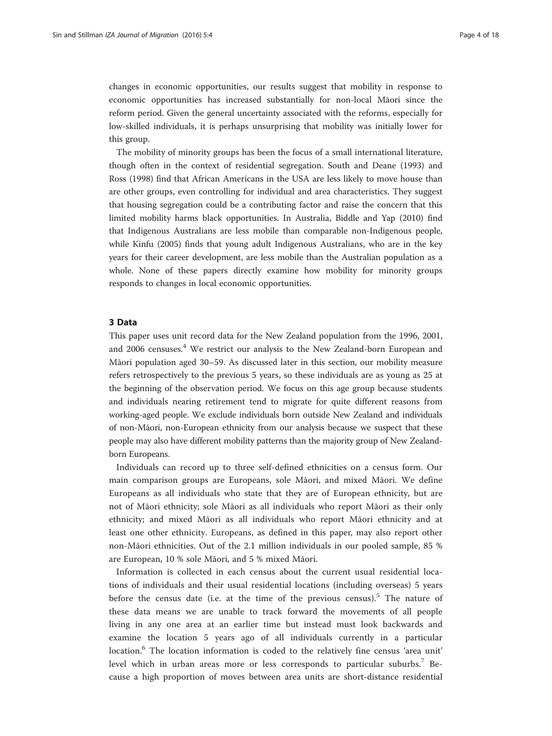<span id="page-3-0"></span>changes in economic opportunities, our results suggest that mobility in response to economic opportunities has increased substantially for non-local Māori since the reform period. Given the general uncertainty associated with the reforms, especially for low-skilled individuals, it is perhaps unsurprising that mobility was initially lower for this group.

The mobility of minority groups has been the focus of a small international literature, though often in the context of residential segregation. South and Deane [\(1993\)](#page--1-0) and Ross ([1998](#page--1-0)) find that African Americans in the USA are less likely to move house than are other groups, even controlling for individual and area characteristics. They suggest that housing segregation could be a contributing factor and raise the concern that this limited mobility harms black opportunities. In Australia, Biddle and Yap [\(2010\)](#page--1-0) find that Indigenous Australians are less mobile than comparable non-Indigenous people, while Kinfu ([2005\)](#page--1-0) finds that young adult Indigenous Australians, who are in the key years for their career development, are less mobile than the Australian population as a whole. None of these papers directly examine how mobility for minority groups responds to changes in local economic opportunities.

# 3 Data

This paper uses unit record data for the New Zealand population from the 1996, 2001, and 2006 censuses.<sup>4</sup> We restrict our analysis to the New Zealand-born European and Māori population aged 30–59. As discussed later in this section, our mobility measure refers retrospectively to the previous 5 years, so these individuals are as young as 25 at the beginning of the observation period. We focus on this age group because students and individuals nearing retirement tend to migrate for quite different reasons from working-aged people. We exclude individuals born outside New Zealand and individuals of non-Māori, non-European ethnicity from our analysis because we suspect that these people may also have different mobility patterns than the majority group of New Zealandborn Europeans.

Individuals can record up to three self-defined ethnicities on a census form. Our main comparison groups are Europeans, sole Māori, and mixed Māori. We define Europeans as all individuals who state that they are of European ethnicity, but are not of Māori ethnicity; sole Māori as all individuals who report Māori as their only ethnicity; and mixed Māori as all individuals who report Māori ethnicity and at least one other ethnicity. Europeans, as defined in this paper, may also report other non-Māori ethnicities. Out of the 2.1 million individuals in our pooled sample, 85 % are European, 10 % sole Māori, and 5 % mixed Māori.

Information is collected in each census about the current usual residential locations of individuals and their usual residential locations (including overseas) 5 years before the census date (i.e. at the time of the previous census).<sup>5</sup> The nature of these data means we are unable to track forward the movements of all people living in any one area at an earlier time but instead must look backwards and examine the location 5 years ago of all individuals currently in a particular location.<sup>6</sup> The location information is coded to the relatively fine census 'area unit' level which in urban areas more or less corresponds to particular suburbs.<sup>7</sup> Because a high proportion of moves between area units are short-distance residential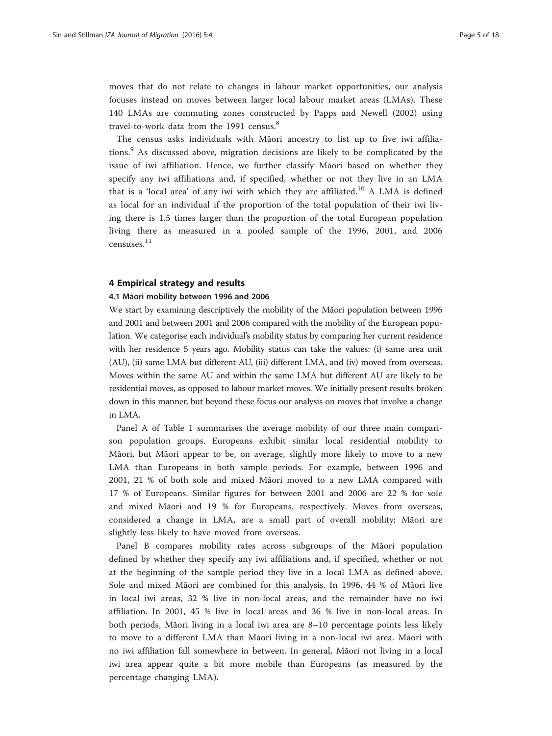<span id="page-4-0"></span>moves that do not relate to changes in labour market opportunities, our analysis focuses instead on moves between larger local labour market areas (LMAs). These 140 LMAs are commuting zones constructed by Papps and Newell ([2002\)](#page--1-0) using travel-to-work data from the 1991 census.<sup>8</sup>

The census asks individuals with Māori ancestry to list up to five iwi affiliations.<sup>9</sup> As discussed above, migration decisions are likely to be complicated by the issue of iwi affiliation. Hence, we further classify Māori based on whether they specify any iwi affiliations and, if specified, whether or not they live in an LMA that is a 'local area' of any iwi with which they are affiliated.<sup>10</sup> A LMA is defined as local for an individual if the proportion of the total population of their iwi living there is 1.5 times larger than the proportion of the total European population living there as measured in a pooled sample of the 1996, 2001, and 2006 censuses.<sup>11</sup>

### 4 Empirical strategy and results

# 4.1 Māori mobility between 1996 and 2006

We start by examining descriptively the mobility of the Māori population between 1996 and 2001 and between 2001 and 2006 compared with the mobility of the European population. We categorise each individual's mobility status by comparing her current residence with her residence 5 years ago. Mobility status can take the values: (i) same area unit (AU), (ii) same LMA but different AU, (iii) different LMA, and (iv) moved from overseas. Moves within the same AU and within the same LMA but different AU are likely to be residential moves, as opposed to labour market moves. We initially present results broken down in this manner, but beyond these focus our analysis on moves that involve a change in LMA.

Panel A of Table [1](#page-5-0) summarises the average mobility of our three main comparison population groups. Europeans exhibit similar local residential mobility to Māori, but Māori appear to be, on average, slightly more likely to move to a new LMA than Europeans in both sample periods. For example, between 1996 and 2001, 21 % of both sole and mixed Māori moved to a new LMA compared with 17 % of Europeans. Similar figures for between 2001 and 2006 are 22 % for sole and mixed Māori and 19 % for Europeans, respectively. Moves from overseas, considered a change in LMA, are a small part of overall mobility; Māori are slightly less likely to have moved from overseas.

Panel B compares mobility rates across subgroups of the Māori population defined by whether they specify any iwi affiliations and, if specified, whether or not at the beginning of the sample period they live in a local LMA as defined above. Sole and mixed Māori are combined for this analysis. In 1996, 44 % of Māori live in local iwi areas, 32 % live in non-local areas, and the remainder have no iwi affiliation. In 2001, 45 % live in local areas and 36 % live in non-local areas. In both periods, Māori living in a local iwi area are 8–10 percentage points less likely to move to a different LMA than Māori living in a non-local iwi area. Māori with no iwi affiliation fall somewhere in between. In general, Māori not living in a local iwi area appear quite a bit more mobile than Europeans (as measured by the percentage changing LMA).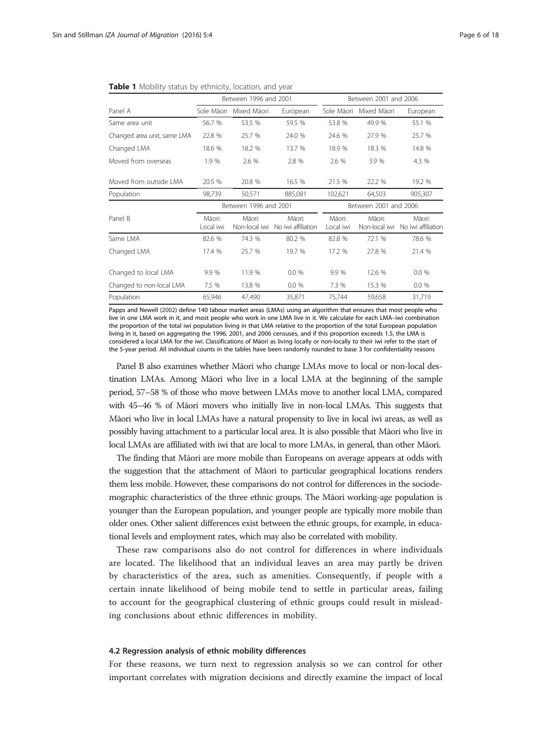|                             |                     | Between 1996 and 2001   |                              | Between 2001 and 2006 |                         |                              |  |
|-----------------------------|---------------------|-------------------------|------------------------------|-----------------------|-------------------------|------------------------------|--|
| Panel A                     | Sole Mãori          | Mixed Mãori             | European                     | Sole Mãori            | Mixed Mãori             | European                     |  |
| Same area unit              | 56.7 %              | 53.5 %                  | 59.5 %                       | 53.8 %                | 49.9 %                  | 55.1 %                       |  |
| Changed area unit, same LMA | 22.8 %              | 25.7 %                  | 24.0 %                       | 24.6 %                | 27.9 %                  | 25.7 %                       |  |
| Changed LMA                 | 18.6 %              | 18.2 %                  | 13.7 %                       | 18.9 %                | 18.3 %                  | 14.8 %                       |  |
| Moved from overseas         | 1.9%                | 2.6 %                   | 2.8 %                        | 2.6 %                 | 3.9 %                   | 4.3 %                        |  |
| Moved from outside I MA     | 20.5 %              | 20.8 %                  | 16.5 %                       | 21.5 %                | 22.2 %                  | 19.2 %                       |  |
| Population                  | 98,739              | 50,571                  | 885,081                      | 102,621               | 64,503                  | 905,307                      |  |
|                             |                     | Between 1996 and 2001   |                              | Between 2001 and 2006 |                         |                              |  |
| Panel B                     | Māori:<br>Local iwi | Māori:<br>Non-local iwi | Māori:<br>No iwi affiliation | Māori:<br>Local iwi   | Māori:<br>Non-local iwi | Māori:<br>No iwi affiliation |  |
| Same I MA                   | 82.6 %              | 74.3 %                  | 80.2 %                       | 82.8 %                | 72.1 %                  | 78.6 %                       |  |
| Changed LMA                 | 17.4 %              | 25.7 %                  | 19.7 %                       | 17.2 %                | 27.8 %                  | 21.4 %                       |  |
| Changed to local LMA        | 9.9 %               | 11.9 %                  | 0.0%                         | 9.9%                  | 12.6 %                  | 0.0%                         |  |
| Changed to non-local LMA    | 7.5 %               | 13.8 %                  | 0.0%                         | 7.3 %                 | 15.3 %                  | 0.0 %                        |  |
| Population                  | 65,946              | 47,490                  | 35,871                       | 75,744                | 59,658                  | 31,719                       |  |

#### <span id="page-5-0"></span>Table 1 Mobility status by ethnicity, location, and year

Papps and Newell ([2002](#page--1-0)) define 140 labour market areas (LMAs) using an algorithm that ensures that most people who live in one LMA work in it, and most people who work in one LMA live in it. We calculate for each LMA–iwi combination the proportion of the total iwi population living in that LMA relative to the proportion of the total European population living in it, based on aggregating the 1996, 2001, and 2006 censuses, and if this proportion exceeds 1.5, the LMA is considered a local LMA for the iwi. Classifications of Māori as living locally or non-locally to their iwi refer to the start of the 5-year period. All individual counts in the tables have been randomly rounded to base 3 for confidentiality reasons

Panel B also examines whether Māori who change LMAs move to local or non-local destination LMAs. Among Māori who live in a local LMA at the beginning of the sample period, 57–58 % of those who move between LMAs move to another local LMA, compared with 45–46 % of Māori movers who initially live in non-local LMAs. This suggests that Māori who live in local LMAs have a natural propensity to live in local iwi areas, as well as possibly having attachment to a particular local area. It is also possible that Māori who live in local LMAs are affiliated with iwi that are local to more LMAs, in general, than other Māori.

The finding that Māori are more mobile than Europeans on average appears at odds with the suggestion that the attachment of Māori to particular geographical locations renders them less mobile. However, these comparisons do not control for differences in the sociodemographic characteristics of the three ethnic groups. The Māori working-age population is younger than the European population, and younger people are typically more mobile than older ones. Other salient differences exist between the ethnic groups, for example, in educational levels and employment rates, which may also be correlated with mobility.

These raw comparisons also do not control for differences in where individuals are located. The likelihood that an individual leaves an area may partly be driven by characteristics of the area, such as amenities. Consequently, if people with a certain innate likelihood of being mobile tend to settle in particular areas, failing to account for the geographical clustering of ethnic groups could result in misleading conclusions about ethnic differences in mobility.

# 4.2 Regression analysis of ethnic mobility differences

For these reasons, we turn next to regression analysis so we can control for other important correlates with migration decisions and directly examine the impact of local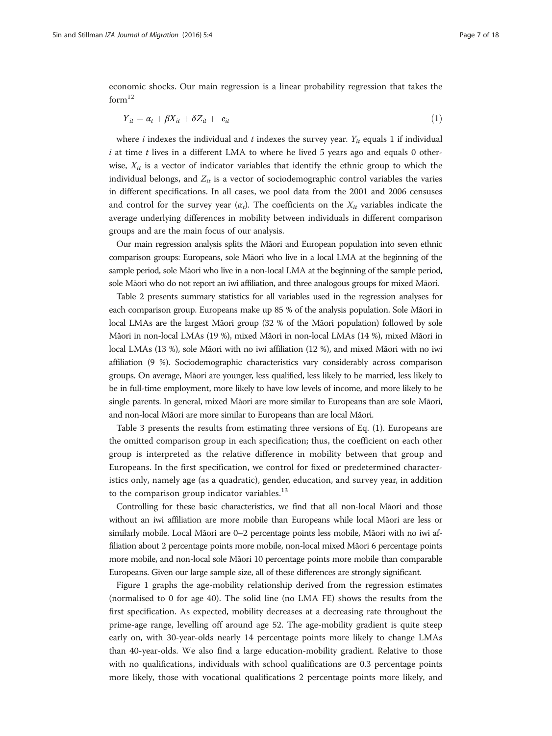<span id="page-6-0"></span>economic shocks. Our main regression is a linear probability regression that takes the  $form<sup>12</sup>$ 

$$
Y_{it} = \alpha_t + \beta X_{it} + \delta Z_{it} + e_{it} \tag{1}
$$

where i indexes the individual and t indexes the survey year.  $Y_{it}$  equals 1 if individual  $i$  at time  $t$  lives in a different LMA to where he lived 5 years ago and equals 0 otherwise,  $X_{it}$  is a vector of indicator variables that identify the ethnic group to which the individual belongs, and  $Z_{it}$  is a vector of sociodemographic control variables the varies in different specifications. In all cases, we pool data from the 2001 and 2006 censuses and control for the survey year  $(\alpha_t)$ . The coefficients on the  $X_{it}$  variables indicate the average underlying differences in mobility between individuals in different comparison groups and are the main focus of our analysis.

Our main regression analysis splits the Māori and European population into seven ethnic comparison groups: Europeans, sole Māori who live in a local LMA at the beginning of the sample period, sole Māori who live in a non-local LMA at the beginning of the sample period, sole Māori who do not report an iwi affiliation, and three analogous groups for mixed Māori.

Table [2](#page-7-0) presents summary statistics for all variables used in the regression analyses for each comparison group. Europeans make up 85 % of the analysis population. Sole Māori in local LMAs are the largest Māori group (32 % of the Māori population) followed by sole Māori in non-local LMAs (19 %), mixed Māori in non-local LMAs (14 %), mixed Māori in local LMAs (13 %), sole Māori with no iwi affiliation (12 %), and mixed Māori with no iwi affiliation (9 %). Sociodemographic characteristics vary considerably across comparison groups. On average, Māori are younger, less qualified, less likely to be married, less likely to be in full-time employment, more likely to have low levels of income, and more likely to be single parents. In general, mixed Māori are more similar to Europeans than are sole Māori, and non-local Māori are more similar to Europeans than are local Māori.

Table [3](#page-8-0) presents the results from estimating three versions of Eq. (1). Europeans are the omitted comparison group in each specification; thus, the coefficient on each other group is interpreted as the relative difference in mobility between that group and Europeans. In the first specification, we control for fixed or predetermined characteristics only, namely age (as a quadratic), gender, education, and survey year, in addition to the comparison group indicator variables. $^{13}$ 

Controlling for these basic characteristics, we find that all non-local Māori and those without an iwi affiliation are more mobile than Europeans while local Māori are less or similarly mobile. Local Māori are 0–2 percentage points less mobile, Māori with no iwi affiliation about 2 percentage points more mobile, non-local mixed Māori 6 percentage points more mobile, and non-local sole Māori 10 percentage points more mobile than comparable Europeans. Given our large sample size, all of these differences are strongly significant.

Figure [1](#page-9-0) graphs the age-mobility relationship derived from the regression estimates (normalised to 0 for age 40). The solid line (no LMA FE) shows the results from the first specification. As expected, mobility decreases at a decreasing rate throughout the prime-age range, levelling off around age 52. The age-mobility gradient is quite steep early on, with 30-year-olds nearly 14 percentage points more likely to change LMAs than 40-year-olds. We also find a large education-mobility gradient. Relative to those with no qualifications, individuals with school qualifications are 0.3 percentage points more likely, those with vocational qualifications 2 percentage points more likely, and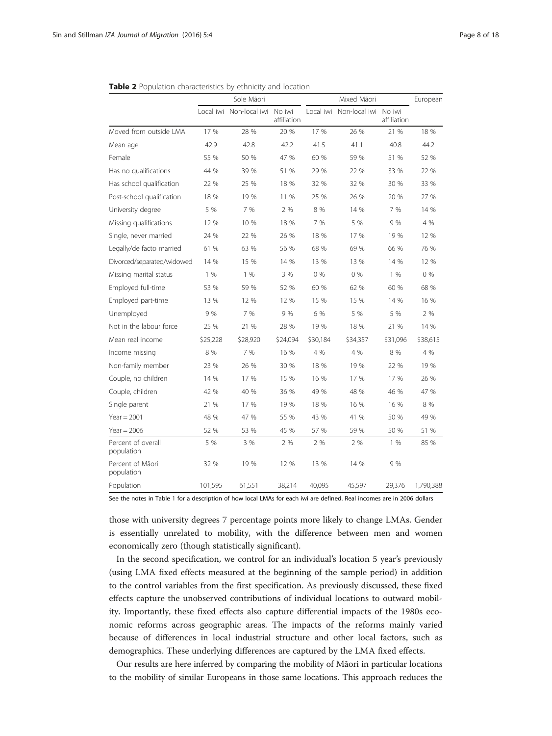|                                  | Sole Māori |                         |                       |           | European      |                       |           |
|----------------------------------|------------|-------------------------|-----------------------|-----------|---------------|-----------------------|-----------|
|                                  |            | Local iwi Non-local iwi | No iwi<br>affiliation | Local iwi | Non-local iwi | No iwi<br>affiliation |           |
| Moved from outside LMA           | 17 %       | 28 %                    | 20 %                  | 17 %      | 26 %          | 21 %                  | 18 %      |
| Mean age                         | 42.9       | 42.8                    | 42.2                  | 41.5      | 41.1          | 40.8                  | 44.2      |
| Female                           | 55 %       | 50 %                    | 47 %                  | 60 %      | 59 %          | 51 %                  | 52 %      |
| Has no qualifications            | 44 %       | 39 %                    | 51 %                  | 29 %      | 22 %          | 33 %                  | 22 %      |
| Has school qualification         | 22 %       | 25 %                    | 18 %                  | 32 %      | 32 %          | 30 %                  | 33 %      |
| Post-school qualification        | 18 %       | 19 %                    | 11 %                  | 25 %      | 26 %          | 20 %                  | 27 %      |
| University degree                | 5 %        | 7 %                     | 2 %                   | 8 %       | 14 %          | 7 %                   | 14 %      |
| Missing qualifications           | 12 %       | 10 %                    | 18 %                  | 7 %       | 5 %           | 9 %                   | 4 %       |
| Single, never married            | 24 %       | 22 %                    | 26 %                  | 18 %      | 17 %          | 19 %                  | 12 %      |
| Legally/de facto married         | 61 %       | 63 %                    | 56 %                  | 68 %      | 69 %          | 66 %                  | 76 %      |
| Divorced/separated/widowed       | 14 %       | 15 %                    | 14 %                  | 13 %      | 13 %          | 14 %                  | 12 %      |
| Missing marital status           | 1%         | 1%                      | 3 %                   | 0%        | 0%            | 1%                    | 0%        |
| Employed full-time               | 53 %       | 59 %                    | 52 %                  | 60 %      | 62 %          | 60 %                  | 68 %      |
| Employed part-time               | 13 %       | 12 %                    | 12 %                  | 15 %      | 15 %          | 14 %                  | 16 %      |
| Unemployed                       | 9 %        | 7 %                     | 9 %                   | 6 %       | 5 %           | 5 %                   | 2 %       |
| Not in the labour force          | 25 %       | 21 %                    | 28 %                  | 19 %      | 18 %          | 21 %                  | 14 %      |
| Mean real income                 | \$25,228   | \$28,920                | \$24,094              | \$30,184  | \$34,357      | \$31,096              | \$38,615  |
| Income missing                   | 8 %        | 7 %                     | 16 %                  | 4 %       | 4 %           | 8 %                   | 4 %       |
| Non-family member                | 23 %       | 26 %                    | 30 %                  | 18 %      | 19 %          | 22 %                  | 19 %      |
| Couple, no children              | 14 %       | 17 %                    | 15 %                  | 16 %      | 17 %          | 17 %                  | 26 %      |
| Couple, children                 | 42 %       | 40 %                    | 36 %                  | 49 %      | 48 %          | 46 %                  | 47 %      |
| Single parent                    | 21 %       | 17 %                    | 19 %                  | 18 %      | 16 %          | 16 %                  | 8 %       |
| Year = $2001$                    | 48 %       | 47 %                    | 55 %                  | 43 %      | 41 %          | 50 %                  | 49 %      |
| Year = $2006$                    | 52 %       | 53 %                    | 45 %                  | 57 %      | 59 %          | 50 %                  | 51 %      |
| Percent of overall<br>population | 5 %        | 3 %                     | 2 %                   | 2 %       | 2 %           | 1%                    | 85 %      |
| Percent of Māori<br>population   | 32 %       | 19 %                    | 12 %                  | 13 %      | 14 %          | 9 %                   |           |
| Population                       | 101,595    | 61,551                  | 38,214                | 40,095    | 45,597        | 29,376                | 1,790,388 |

<span id="page-7-0"></span>

|  |  |  |  |  | <b>Table 2</b> Population characteristics by ethnicity and location |  |  |  |  |  |
|--|--|--|--|--|---------------------------------------------------------------------|--|--|--|--|--|
|--|--|--|--|--|---------------------------------------------------------------------|--|--|--|--|--|

See the notes in Table [1](#page-5-0) for a description of how local LMAs for each iwi are defined. Real incomes are in 2006 dollars

those with university degrees 7 percentage points more likely to change LMAs. Gender is essentially unrelated to mobility, with the difference between men and women economically zero (though statistically significant).

In the second specification, we control for an individual's location 5 year's previously (using LMA fixed effects measured at the beginning of the sample period) in addition to the control variables from the first specification. As previously discussed, these fixed effects capture the unobserved contributions of individual locations to outward mobility. Importantly, these fixed effects also capture differential impacts of the 1980s economic reforms across geographic areas. The impacts of the reforms mainly varied because of differences in local industrial structure and other local factors, such as demographics. These underlying differences are captured by the LMA fixed effects.

Our results are here inferred by comparing the mobility of Māori in particular locations to the mobility of similar Europeans in those same locations. This approach reduces the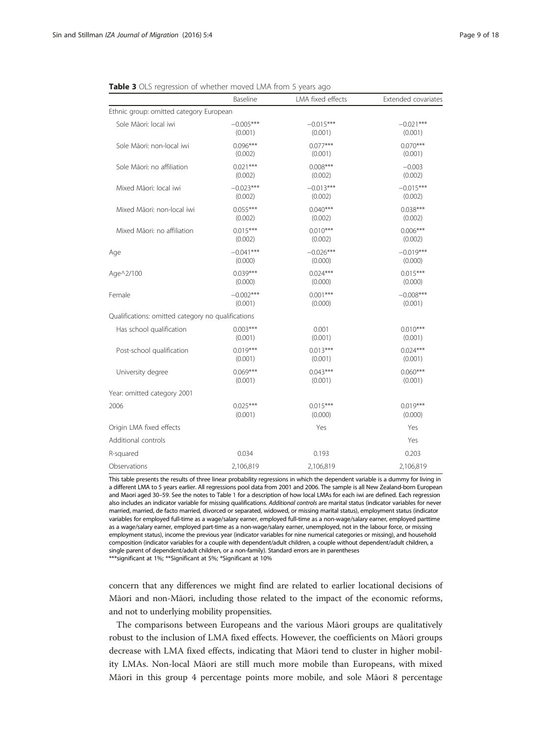|                                                    | Baseline    | LMA fixed effects | Extended covariates |
|----------------------------------------------------|-------------|-------------------|---------------------|
| Ethnic group: omitted category European            |             |                   |                     |
| Sole Mãori: local iwi                              | $-0.005***$ | $-0.015***$       | $-0.021***$         |
|                                                    | (0.001)     | (0.001)           | (0.001)             |
| Sole Māori: non-local iwi                          | $0.096***$  | $0.077***$        | $0.070***$          |
|                                                    | (0.002)     | (0.001)           | (0.001)             |
| Sole Mãori: no affiliation                         | $0.021***$  | $0.008***$        | $-0.003$            |
|                                                    | (0.002)     | (0.002)           | (0.002)             |
| Mixed Māori: local iwi                             | $-0.023***$ | $-0.013***$       | $-0.015***$         |
|                                                    | (0.002)     | (0.002)           | (0.002)             |
| Mixed Māori: non-local iwi                         | $0.055***$  | $0.040***$        | $0.038***$          |
|                                                    | (0.002)     | (0.002)           | (0.002)             |
| Mixed Māori: no affiliation                        | $0.015***$  | $0.010***$        | $0.006***$          |
|                                                    | (0.002)     | (0.002)           | (0.002)             |
| Age                                                | $-0.041***$ | $-0.026***$       | $-0.019***$         |
|                                                    | (0.000)     | (0.000)           | (0.000)             |
| Age^2/100                                          | $0.039***$  | $0.024***$        | $0.015***$          |
|                                                    | (0.000)     | (0.000)           | (0.000)             |
| Female                                             | $-0.002***$ | $0.001***$        | $-0.008***$         |
|                                                    | (0.001)     | (0.000)           | (0.001)             |
| Qualifications: omitted category no qualifications |             |                   |                     |
| Has school qualification                           | $0.003***$  | 0.001             | $0.010***$          |
|                                                    | (0.001)     | (0.001)           | (0.001)             |
| Post-school qualification                          | $0.019***$  | $0.013***$        | $0.024***$          |
|                                                    | (0.001)     | (0.001)           | (0.001)             |
| University degree                                  | $0.069***$  | $0.043***$        | $0.060***$          |
|                                                    | (0.001)     | (0.001)           | (0.001)             |
| Year: omitted category 2001                        |             |                   |                     |
| 2006                                               | $0.025***$  | $0.015***$        | $0.019***$          |
|                                                    | (0.001)     | (0.000)           | (0.000)             |
| Origin LMA fixed effects                           |             | Yes               | Yes                 |
| Additional controls                                |             |                   | Yes                 |
| R-squared                                          | 0.034       | 0.193             | 0.203               |
| Observations                                       | 2,106,819   | 2,106,819         | 2,106,819           |

<span id="page-8-0"></span>

|  |  |  |  | <b>Table 3</b> OLS regression of whether moved LMA from 5 years ago |  |  |  |  |  |  |  |  |
|--|--|--|--|---------------------------------------------------------------------|--|--|--|--|--|--|--|--|
|--|--|--|--|---------------------------------------------------------------------|--|--|--|--|--|--|--|--|

This table presents the results of three linear probability regressions in which the dependent variable is a dummy for living in a different LMA to 5 years earlier. All regressions pool data from 2001 and 2006. The sample is all New Zealand-born European and Maori aged 30–59. See the notes to Table [1](#page-5-0) for a description of how local LMAs for each iwi are defined. Each regression also includes an indicator variable for missing qualifications. Additional controls are marital status (indicator variables for never married, married, de facto married, divorced or separated, widowed, or missing marital status), employment status (indicator variables for employed full-time as a wage/salary earner, employed full-time as a non-wage/salary earner, employed parttime as a wage/salary earner, employed part-time as a non-wage/salary earner, unemployed, not in the labour force, or missing employment status), income the previous year (indicator variables for nine numerical categories or missing), and household composition (indicator variables for a couple with dependent/adult children, a couple without dependent/adult children, a single parent of dependent/adult children, or a non-family). Standard errors are in parentheses

\*\*\*significant at 1%; \*\*Significant at 5%; \*Significant at 10%

concern that any differences we might find are related to earlier locational decisions of Māori and non-Māori, including those related to the impact of the economic reforms, and not to underlying mobility propensities.

The comparisons between Europeans and the various Māori groups are qualitatively robust to the inclusion of LMA fixed effects. However, the coefficients on Māori groups decrease with LMA fixed effects, indicating that Māori tend to cluster in higher mobility LMAs. Non-local Māori are still much more mobile than Europeans, with mixed Māori in this group 4 percentage points more mobile, and sole Māori 8 percentage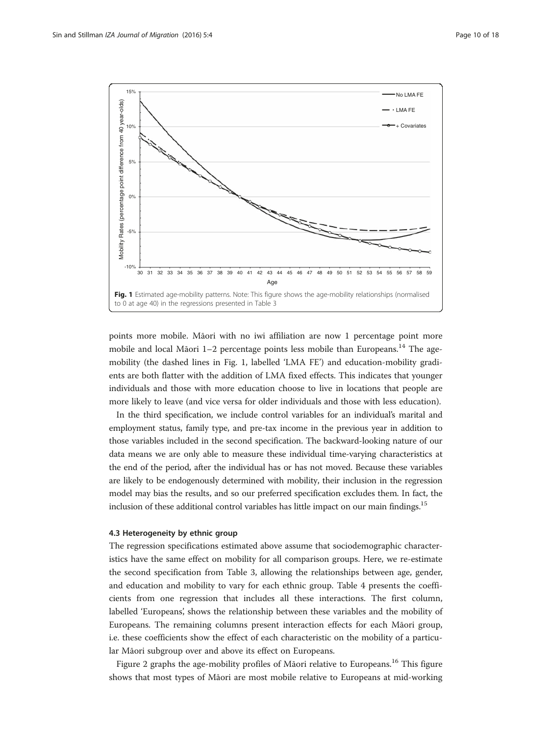<span id="page-9-0"></span>

points more mobile. Māori with no iwi affiliation are now 1 percentage point more mobile and local Māori  $1-2$  percentage points less mobile than Europeans.<sup>14</sup> The agemobility (the dashed lines in Fig. 1, labelled 'LMA FE') and education-mobility gradients are both flatter with the addition of LMA fixed effects. This indicates that younger individuals and those with more education choose to live in locations that people are more likely to leave (and vice versa for older individuals and those with less education).

In the third specification, we include control variables for an individual's marital and employment status, family type, and pre-tax income in the previous year in addition to those variables included in the second specification. The backward-looking nature of our data means we are only able to measure these individual time-varying characteristics at the end of the period, after the individual has or has not moved. Because these variables are likely to be endogenously determined with mobility, their inclusion in the regression model may bias the results, and so our preferred specification excludes them. In fact, the inclusion of these additional control variables has little impact on our main findings.<sup>15</sup>

# 4.3 Heterogeneity by ethnic group

The regression specifications estimated above assume that sociodemographic characteristics have the same effect on mobility for all comparison groups. Here, we re-estimate the second specification from Table [3](#page-8-0), allowing the relationships between age, gender, and education and mobility to vary for each ethnic group. Table [4](#page-10-0) presents the coefficients from one regression that includes all these interactions. The first column, labelled 'Europeans', shows the relationship between these variables and the mobility of Europeans. The remaining columns present interaction effects for each Māori group, i.e. these coefficients show the effect of each characteristic on the mobility of a particular Māori subgroup over and above its effect on Europeans.

Figure [2](#page-11-0) graphs the age-mobility profiles of Māori relative to Europeans.<sup>16</sup> This figure shows that most types of Māori are most mobile relative to Europeans at mid-working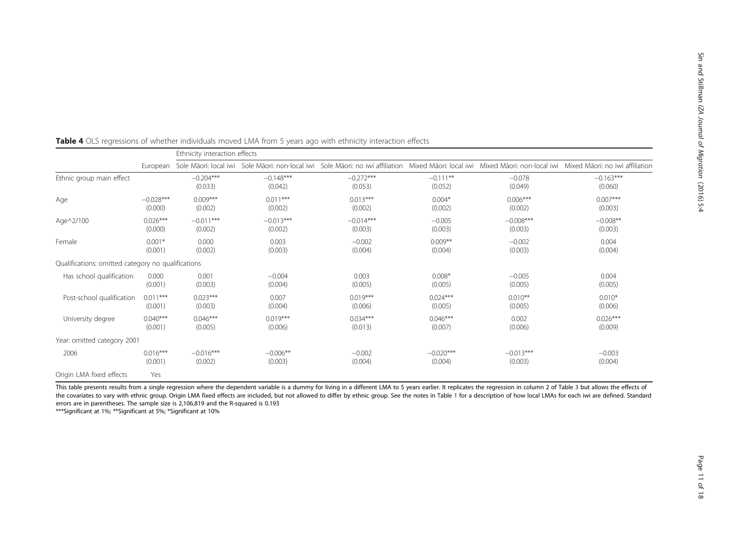|                                                    |             | Ethnicity interaction effects |                        |                        |                       |                     |                                                                                                                                                                  |
|----------------------------------------------------|-------------|-------------------------------|------------------------|------------------------|-----------------------|---------------------|------------------------------------------------------------------------------------------------------------------------------------------------------------------|
|                                                    | European    |                               |                        |                        |                       |                     | Sole Māori: local iwi Sole Māori: non-local iwi Sole Māori: no iwi affiliation Mixed Māori: local iwi Mixed Māori: non-local iwi Mixed Māori: no iwi affiliation |
| Ethnic group main effect                           |             | $-0.204***$<br>(0.033)        | $-0.148***$<br>(0.042) | $-0.272***$<br>(0.053) | $-0.111**$<br>(0.052) | $-0.078$<br>(0.049) | $-0.163***$<br>(0.060)                                                                                                                                           |
| Age                                                | $-0.028***$ | $0.009***$                    | $0.011***$             | $0.013***$             | $0.004*$              | $0.006***$          | $0.007***$                                                                                                                                                       |
|                                                    | (0.000)     | (0.002)                       | (0.002)                | (0.002)                | (0.002)               | (0.002)             | (0.003)                                                                                                                                                          |
| Age^2/100                                          | $0.026***$  | $-0.011***$                   | $-0.013***$            | $-0.014***$            | $-0.005$              | $-0.008***$         | $-0.008**$                                                                                                                                                       |
|                                                    | (0.000)     | (0.002)                       | (0.002)                | (0.003)                | (0.003)               | (0.003)             | (0.003)                                                                                                                                                          |
| Female                                             | $0.001*$    | 0.000                         | 0.003                  | $-0.002$               | $0.009**$             | $-0.002$            | 0.004                                                                                                                                                            |
|                                                    | (0.001)     | (0.002)                       | (0.003)                | (0.004)                | (0.004)               | (0.003)             | (0.004)                                                                                                                                                          |
| Qualifications: omitted category no qualifications |             |                               |                        |                        |                       |                     |                                                                                                                                                                  |
| Has school qualification                           | 0.000       | 0.001                         | $-0.004$               | 0.003                  | $0.008*$              | $-0.005$            | 0.004                                                                                                                                                            |
|                                                    | (0.001)     | (0.003)                       | (0.004)                | (0.005)                | (0.005)               | (0.005)             | (0.005)                                                                                                                                                          |
| Post-school qualification                          | $0.011***$  | $0.023***$                    | 0.007                  | $0.019***$             | $0.024***$            | $0.010**$           | $0.010*$                                                                                                                                                         |
|                                                    | (0.001)     | (0.003)                       | (0.004)                | (0.006)                | (0.005)               | (0.005)             | (0.006)                                                                                                                                                          |
| University degree                                  | $0.040***$  | $0.046***$                    | $0.019***$             | $0.034***$             | $0.046***$            | 0.002               | $0.026***$                                                                                                                                                       |
|                                                    | (0.001)     | (0.005)                       | (0.006)                | (0.013)                | (0.007)               | (0.006)             | (0.009)                                                                                                                                                          |
| Year: omitted category 2001                        |             |                               |                        |                        |                       |                     |                                                                                                                                                                  |
| 2006                                               | $0.016***$  | $-0.016***$                   | $-0.006**$             | $-0.002$               | $-0.020***$           | $-0.013***$         | $-0.003$                                                                                                                                                         |
|                                                    | (0.001)     | (0.002)                       | (0.003)                | (0.004)                | (0.004)               | (0.003)             | (0.004)                                                                                                                                                          |
| Origin LMA fixed effects                           | Yes         |                               |                        |                        |                       |                     |                                                                                                                                                                  |

<span id="page-10-0"></span>

| <b>Table 4</b> OLS regressions of whether individuals moved LMA from 5 years ago with ethnicity interaction effects |  |  |  |
|---------------------------------------------------------------------------------------------------------------------|--|--|--|
|---------------------------------------------------------------------------------------------------------------------|--|--|--|

This table presents results from a single regression where the dependent variable is a dummy for living in a different LMA to 5 years earlier. It replicates the regression in column 2 of Table [3](#page-8-0) but allows the effects of the covariates to vary with ethnic group. Origin LMA fixed effects are included, but not allowed to differ by ethnic group. See the notes in Table [1](#page-5-0) for a description of how local LMAs for each iwi are defined. Standard errors are in parentheses. The sample size is 2,106,819 and the R-squared is 0.193

\*\*\*Significant at 1%; \*\*Significant at 5%; \*Significant at 10%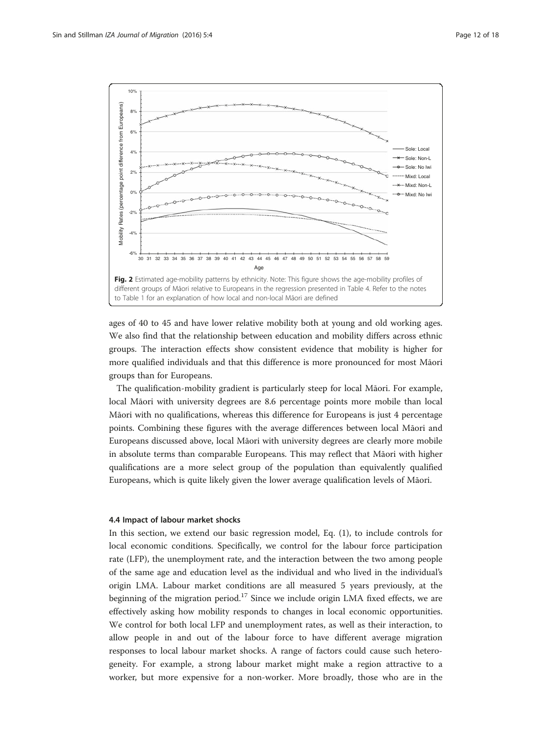<span id="page-11-0"></span>

ages of 40 to 45 and have lower relative mobility both at young and old working ages. We also find that the relationship between education and mobility differs across ethnic groups. The interaction effects show consistent evidence that mobility is higher for more qualified individuals and that this difference is more pronounced for most Māori groups than for Europeans.

The qualification-mobility gradient is particularly steep for local Māori. For example, local Māori with university degrees are 8.6 percentage points more mobile than local Māori with no qualifications, whereas this difference for Europeans is just 4 percentage points. Combining these figures with the average differences between local Māori and Europeans discussed above, local Māori with university degrees are clearly more mobile in absolute terms than comparable Europeans. This may reflect that Māori with higher qualifications are a more select group of the population than equivalently qualified Europeans, which is quite likely given the lower average qualification levels of Māori.

#### 4.4 Impact of labour market shocks

In this section, we extend our basic regression model, Eq. ([1\)](#page-6-0), to include controls for local economic conditions. Specifically, we control for the labour force participation rate (LFP), the unemployment rate, and the interaction between the two among people of the same age and education level as the individual and who lived in the individual's origin LMA. Labour market conditions are all measured 5 years previously, at the beginning of the migration period.<sup>17</sup> Since we include origin LMA fixed effects, we are effectively asking how mobility responds to changes in local economic opportunities. We control for both local LFP and unemployment rates, as well as their interaction, to allow people in and out of the labour force to have different average migration responses to local labour market shocks. A range of factors could cause such heterogeneity. For example, a strong labour market might make a region attractive to a worker, but more expensive for a non-worker. More broadly, those who are in the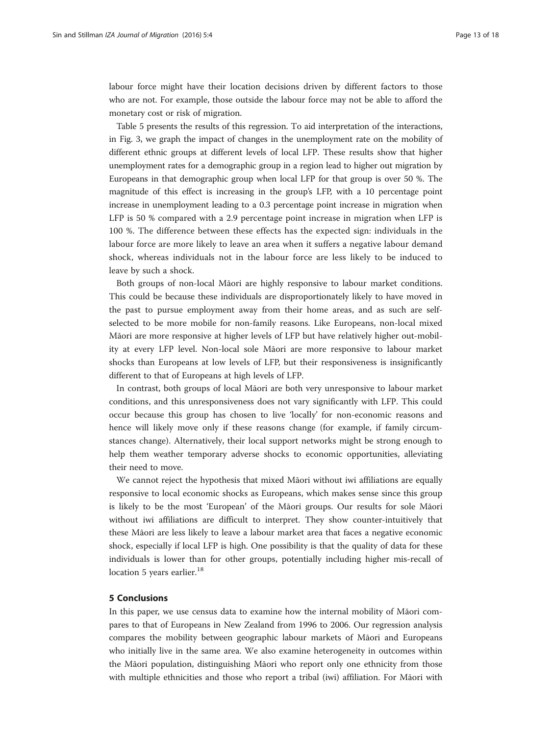<span id="page-12-0"></span>labour force might have their location decisions driven by different factors to those who are not. For example, those outside the labour force may not be able to afford the monetary cost or risk of migration.

Table [5](#page-13-0) presents the results of this regression. To aid interpretation of the interactions, in Fig. [3,](#page-14-0) we graph the impact of changes in the unemployment rate on the mobility of different ethnic groups at different levels of local LFP. These results show that higher unemployment rates for a demographic group in a region lead to higher out migration by Europeans in that demographic group when local LFP for that group is over 50 %. The magnitude of this effect is increasing in the group's LFP, with a 10 percentage point increase in unemployment leading to a 0.3 percentage point increase in migration when LFP is 50 % compared with a 2.9 percentage point increase in migration when LFP is 100 %. The difference between these effects has the expected sign: individuals in the labour force are more likely to leave an area when it suffers a negative labour demand shock, whereas individuals not in the labour force are less likely to be induced to leave by such a shock.

Both groups of non-local Māori are highly responsive to labour market conditions. This could be because these individuals are disproportionately likely to have moved in the past to pursue employment away from their home areas, and as such are selfselected to be more mobile for non-family reasons. Like Europeans, non-local mixed Māori are more responsive at higher levels of LFP but have relatively higher out-mobility at every LFP level. Non-local sole Māori are more responsive to labour market shocks than Europeans at low levels of LFP, but their responsiveness is insignificantly different to that of Europeans at high levels of LFP.

In contrast, both groups of local Māori are both very unresponsive to labour market conditions, and this unresponsiveness does not vary significantly with LFP. This could occur because this group has chosen to live 'locally' for non-economic reasons and hence will likely move only if these reasons change (for example, if family circumstances change). Alternatively, their local support networks might be strong enough to help them weather temporary adverse shocks to economic opportunities, alleviating their need to move.

We cannot reject the hypothesis that mixed Māori without iwi affiliations are equally responsive to local economic shocks as Europeans, which makes sense since this group is likely to be the most 'European' of the Māori groups. Our results for sole Māori without iwi affiliations are difficult to interpret. They show counter-intuitively that these Māori are less likely to leave a labour market area that faces a negative economic shock, especially if local LFP is high. One possibility is that the quality of data for these individuals is lower than for other groups, potentially including higher mis-recall of location 5 years earlier.<sup>18</sup>

# 5 Conclusions

In this paper, we use census data to examine how the internal mobility of Māori compares to that of Europeans in New Zealand from 1996 to 2006. Our regression analysis compares the mobility between geographic labour markets of Māori and Europeans who initially live in the same area. We also examine heterogeneity in outcomes within the Māori population, distinguishing Māori who report only one ethnicity from those with multiple ethnicities and those who report a tribal (iwi) affiliation. For Māori with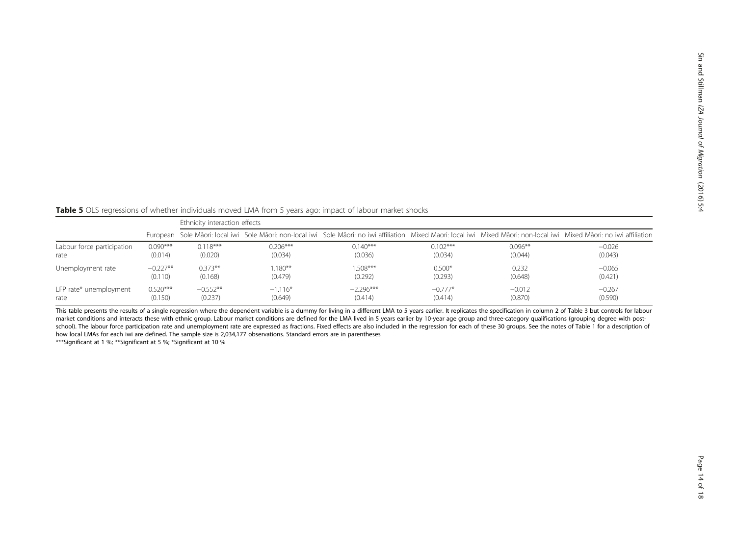<span id="page-13-0"></span>Table 5 OLS regressions of whether individuals moved LMA from 5 years ago: impact of labour market shocks

|                            |            | Ethnicity interaction effects |            |             |            |            |                                                                                                                                                                           |  |  |
|----------------------------|------------|-------------------------------|------------|-------------|------------|------------|---------------------------------------------------------------------------------------------------------------------------------------------------------------------------|--|--|
|                            |            |                               |            |             |            |            | European Sole Māori: local iwi Sole Māori: non-local iwi Sole Māori: no iwi affiliation Mixed Maori: local iwi Mixed Māori: non-local iwi Mixed Māori: no iwi affiliation |  |  |
| Labour force participation | $0.090***$ | $0.118***$                    | $0.206***$ | $0.140***$  | $0.102***$ | $0.096***$ | $-0.026$                                                                                                                                                                  |  |  |
| rate                       | (0.014)    | (0.020)                       | (0.034)    | (0.036)     | (0.034)    | (0.044)    | (0.043)                                                                                                                                                                   |  |  |
| Unemployment rate          | $-0.227**$ | $0.373**$                     | $1.180***$ | $1.508***$  | $0.500*$   | 0.232      | $-0.065$                                                                                                                                                                  |  |  |
|                            | (0.110)    | (0.168)                       | (0.479)    | (0.292)     | (0.293)    | (0.648)    | (0.421)                                                                                                                                                                   |  |  |
| LFP rate* unemployment     | $0.520***$ | $-0.552**$                    | $-1.116*$  | $-2.296***$ | $-0.777*$  | $-0.012$   | $-0.267$                                                                                                                                                                  |  |  |
| rate                       | (0.150)    | (0.237)                       | (0.649)    | (0.414)     | (0.414)    | (0.870)    | (0.590)                                                                                                                                                                   |  |  |

This table presents the results of a single regression where the dependent variable is a dummy for living in a different LMA to 5 years earlier. It replicates the specification in column 2 of Table [3](#page-8-0) but controls for labou market conditions and interacts these with ethnic group. Labour market conditions are defined for the LMA lived in 5 years earlier by 10-year age group and three-category qualifications (grouping degree with postschool). The labour force participation rate and unemployment rate are expressed as fractions. Fixed effects are also included in the regression for each of these 30 groups. See the notes of Table [1](#page-5-0) for a description of how local LMAs for each iwi are defined. The sample size is 2,034,177 observations. Standard errors are in parentheses

\*\*\*Significant at 1 %; \*\*Significant at 5 %; \*Significant at 10 %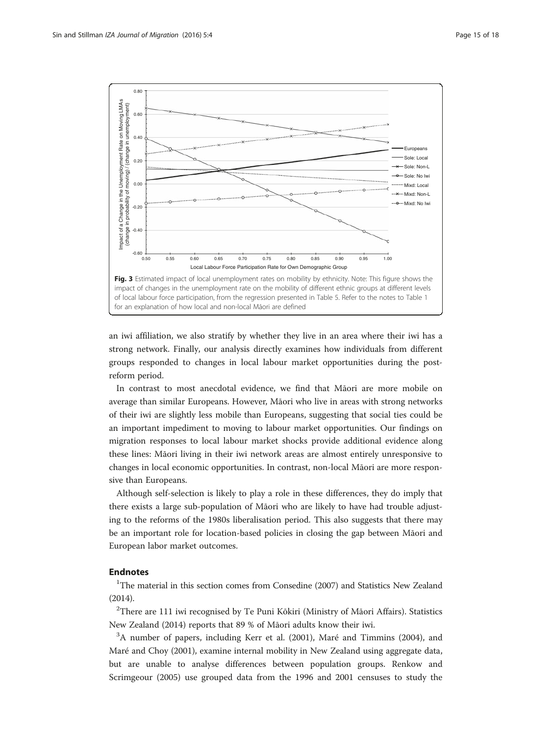<span id="page-14-0"></span>

an iwi affiliation, we also stratify by whether they live in an area where their iwi has a strong network. Finally, our analysis directly examines how individuals from different groups responded to changes in local labour market opportunities during the postreform period.

In contrast to most anecdotal evidence, we find that Māori are more mobile on average than similar Europeans. However, Māori who live in areas with strong networks of their iwi are slightly less mobile than Europeans, suggesting that social ties could be an important impediment to moving to labour market opportunities. Our findings on migration responses to local labour market shocks provide additional evidence along these lines: Māori living in their iwi network areas are almost entirely unresponsive to changes in local economic opportunities. In contrast, non-local Māori are more responsive than Europeans.

Although self-selection is likely to play a role in these differences, they do imply that there exists a large sub-population of Māori who are likely to have had trouble adjusting to the reforms of the 1980s liberalisation period. This also suggests that there may be an important role for location-based policies in closing the gap between Māori and European labor market outcomes.

# Endnotes

<sup>1</sup>The material in this section comes from Consedine ([2007](#page--1-0)) and Statistics New Zealand ([2014\)](#page--1-0).

 $^{2}$ There are 111 iwi recognised by Te Puni Kōkiri (Ministry of Māori Affairs). Statistics New Zealand ([2014\)](#page--1-0) reports that 89 % of Māori adults know their iwi.

<sup>3</sup>A number of papers, including Kerr et al. ([2001\)](#page--1-0), Maré and Timmins [\(2004](#page--1-0)), and Maré and Choy ([2001](#page--1-0)), examine internal mobility in New Zealand using aggregate data, but are unable to analyse differences between population groups. Renkow and Scrimgeour [\(2005\)](#page--1-0) use grouped data from the 1996 and 2001 censuses to study the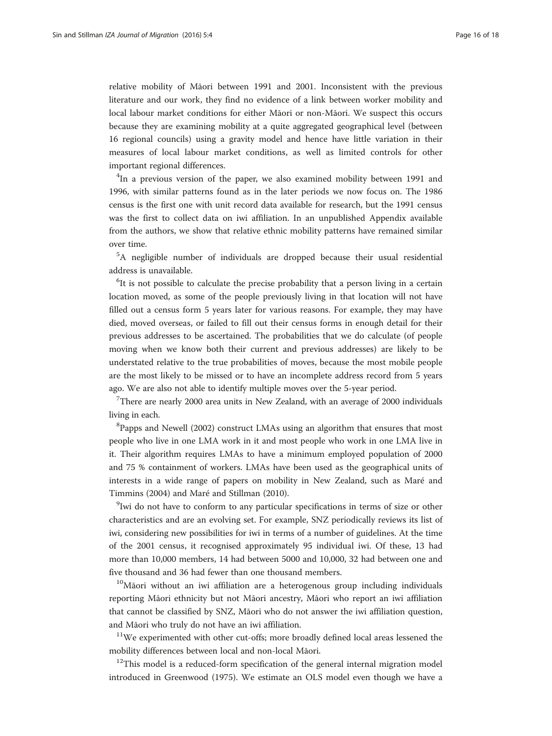relative mobility of Māori between 1991 and 2001. Inconsistent with the previous literature and our work, they find no evidence of a link between worker mobility and local labour market conditions for either Māori or non-Māori. We suspect this occurs because they are examining mobility at a quite aggregated geographical level (between 16 regional councils) using a gravity model and hence have little variation in their measures of local labour market conditions, as well as limited controls for other important regional differences.

<sup>4</sup>In a previous version of the paper, we also examined mobility between 1991 and 1996, with similar patterns found as in the later periods we now focus on. The 1986 census is the first one with unit record data available for research, but the 1991 census was the first to collect data on iwi affiliation. In an unpublished Appendix available from the authors, we show that relative ethnic mobility patterns have remained similar over time.

<sup>5</sup>A negligible number of individuals are dropped because their usual residential address is unavailable.

<sup>6</sup>It is not possible to calculate the precise probability that a person living in a certain location moved, as some of the people previously living in that location will not have filled out a census form 5 years later for various reasons. For example, they may have died, moved overseas, or failed to fill out their census forms in enough detail for their previous addresses to be ascertained. The probabilities that we do calculate (of people moving when we know both their current and previous addresses) are likely to be understated relative to the true probabilities of moves, because the most mobile people are the most likely to be missed or to have an incomplete address record from 5 years ago. We are also not able to identify multiple moves over the 5-year period.

<sup>7</sup>There are nearly 2000 area units in New Zealand, with an average of 2000 individuals living in each.

<sup>8</sup>Papps and Newell ([2002\)](#page--1-0) construct LMAs using an algorithm that ensures that most people who live in one LMA work in it and most people who work in one LMA live in it. Their algorithm requires LMAs to have a minimum employed population of 2000 and 75 % containment of workers. LMAs have been used as the geographical units of interests in a wide range of papers on mobility in New Zealand, such as [Maré and](#page--1-0) [Timmins \(2004\)](#page--1-0) and Maré and Stillman [\(2010\)](#page--1-0).

<sup>9</sup>Iwi do not have to conform to any particular specifications in terms of size or other characteristics and are an evolving set. For example, SNZ periodically reviews its list of iwi, considering new possibilities for iwi in terms of a number of guidelines. At the time of the 2001 census, it recognised approximately 95 individual iwi. Of these, 13 had more than 10,000 members, 14 had between 5000 and 10,000, 32 had between one and five thousand and 36 had fewer than one thousand members.

<sup>10</sup>Māori without an iwi affiliation are a heterogenous group including individuals reporting Māori ethnicity but not Māori ancestry, Māori who report an iwi affiliation that cannot be classified by SNZ, Māori who do not answer the iwi affiliation question, and Māori who truly do not have an iwi affiliation.

<sup>11</sup>We experimented with other cut-offs; more broadly defined local areas lessened the mobility differences between local and non-local Māori.

 $12$ This model is a reduced-form specification of the general internal migration model introduced in Greenwood ([1975](#page--1-0)). We estimate an OLS model even though we have a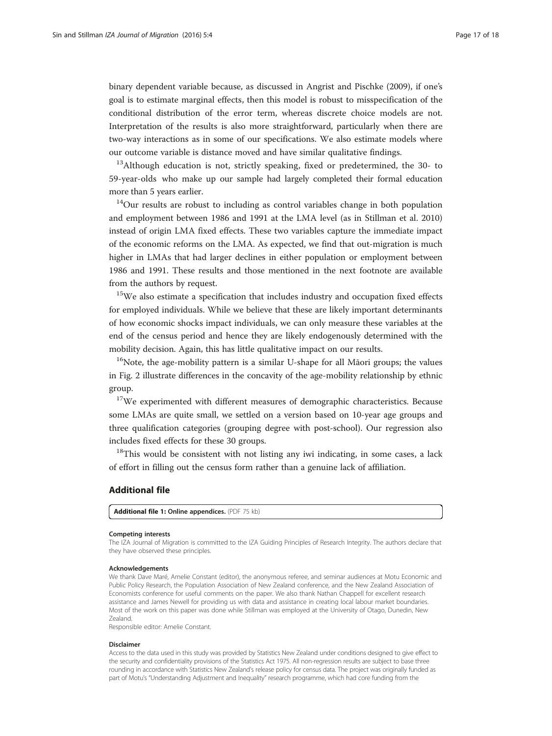binary dependent variable because, as discussed in Angrist and Pischke [\(2009\)](#page--1-0), if one's goal is to estimate marginal effects, then this model is robust to misspecification of the conditional distribution of the error term, whereas discrete choice models are not. Interpretation of the results is also more straightforward, particularly when there are two-way interactions as in some of our specifications. We also estimate models where our outcome variable is distance moved and have similar qualitative findings.

 $13$ Although education is not, strictly speaking, fixed or predetermined, the 30- to 59-year-olds who make up our sample had largely completed their formal education more than 5 years earlier.

<sup>14</sup>Our results are robust to including as control variables change in both population and employment between 1986 and 1991 at the LMA level (as in Stillman et al. [2010](#page--1-0)) instead of origin LMA fixed effects. These two variables capture the immediate impact of the economic reforms on the LMA. As expected, we find that out-migration is much higher in LMAs that had larger declines in either population or employment between 1986 and 1991. These results and those mentioned in the next footnote are available from the authors by request.

<sup>15</sup>We also estimate a specification that includes industry and occupation fixed effects for employed individuals. While we believe that these are likely important determinants of how economic shocks impact individuals, we can only measure these variables at the end of the census period and hence they are likely endogenously determined with the mobility decision. Again, this has little qualitative impact on our results.

 $16$ Note, the age-mobility pattern is a similar U-shape for all Maori groups; the values in Fig. [2](#page-11-0) illustrate differences in the concavity of the age-mobility relationship by ethnic group.

 $17$ We experimented with different measures of demographic characteristics. Because some LMAs are quite small, we settled on a version based on 10-year age groups and three qualification categories (grouping degree with post-school). Our regression also includes fixed effects for these 30 groups.

<sup>18</sup>This would be consistent with not listing any iwi indicating, in some cases, a lack of effort in filling out the census form rather than a genuine lack of affiliation.

### Additional file

[Additional file 1:](dx.doi.org/10.1186/s40176-016-0049-z) Online appendices. (PDF 75 kb)

#### Competing interests

The IZA Journal of Migration is committed to the IZA Guiding Principles of Research Integrity. The authors declare that they have observed these principles.

#### Acknowledgements

We thank Dave Maré, Amelie Constant (editor), the anonymous referee, and seminar audiences at Motu Economic and Public Policy Research, the Population Association of New Zealand conference, and the New Zealand Association of Economists conference for useful comments on the paper. We also thank Nathan Chappell for excellent research assistance and James Newell for providing us with data and assistance in creating local labour market boundaries. Most of the work on this paper was done while Stillman was employed at the University of Otago, Dunedin, New Zealand.

Responsible editor: Amelie Constant.

#### Disclaimer

Access to the data used in this study was provided by Statistics New Zealand under conditions designed to give effect to the security and confidentiality provisions of the Statistics Act 1975. All non-regression results are subject to base three rounding in accordance with Statistics New Zealand's release policy for census data. The project was originally funded as part of Motu's "Understanding Adjustment and Inequality" research programme, which had core funding from the